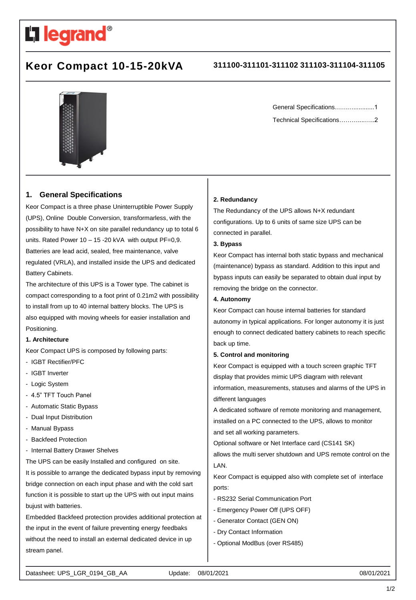

# **Keor Compact 10-15-20kVA 311100-311101-311102 311103-311104-311105**



# **1. General Specifications**

Keor Compact is a three phase Uninterruptible Power Supply (UPS), Online Double Conversion, transformarless, with the possibility to have N+X on site parallel redundancy up to total 6 units. Rated Power  $10 - 15 - 20$  kVA with output PF=0,9. Batteries are lead acid, sealed, free maintenance, valve regulated (VRLA), and installed inside the UPS and dedicated Battery Cabinets.

The architecture of this UPS is a Tower type. The cabinet is compact corresponding to a foot print of 0.21m2 with possibility to install from up to 40 internal battery blocks. The UPS is also equipped with moving wheels for easier installation and Positioning.

### **1. Architecture**

Keor Compact UPS is composed by following parts:

- IGBT Rectifier/PFC
- IGBT Inverter
- Logic System
- 4.5" TFT Touch Panel
- Automatic Static Bypass
- Dual Input Distribution
- Manual Bypass
- Backfeed Protection
- Internal Battery Drawer Shelves

The UPS can be easily Installed and configured on site. It is possible to arrange the dedicated bypass input by removing bridge connection on each input phase and with the cold sart function it is possible to start up the UPS with out input mains bujust with batteries.

Embedded Backfeed protection provides additional protection at the input in the event of failure preventing energy feedbaks without the need to install an external dedicated device in up stream panel.

General Specifications………............1 Technical Specifications………....…..2

#### **2. Redundancy**

The Redundancy of the UPS allows N+X redundant configurations. Up to 6 units of same size UPS can be connected in parallel.

# **3. Bypass**

Keor Compact has internal both static bypass and mechanical (maintenance) bypass as standard. Addition to this input and bypass inputs can easily be separated to obtain dual input by removing the bridge on the connector.

#### **4. Autonomy**

Keor Compact can house internal batteries for standard autonomy in typical applications. For longer autonomy it is just enough to connect dedicated battery cabinets to reach specific back up time.

#### **5. Control and monitoring**

Keor Compact is equipped with a touch screen graphic TFT display that provides mimic UPS diagram with relevant information, measurements, statuses and alarms of the UPS in different languages

A dedicated software of remote monitoring and management, installed on a PC connected to the UPS, allows to monitor and set all working parameters.

Optional software or Net Interface card (CS141 SK)

allows the multi server shutdown and UPS remote control on the LAN.

Keor Compact is equipped also with complete set of interface ports:

- RS232 Serial Communication Port
- Emergency Power Off (UPS OFF)
- Generator Contact (GEN ON)
- Dry Contact Information
- Optional ModBus (over RS485)